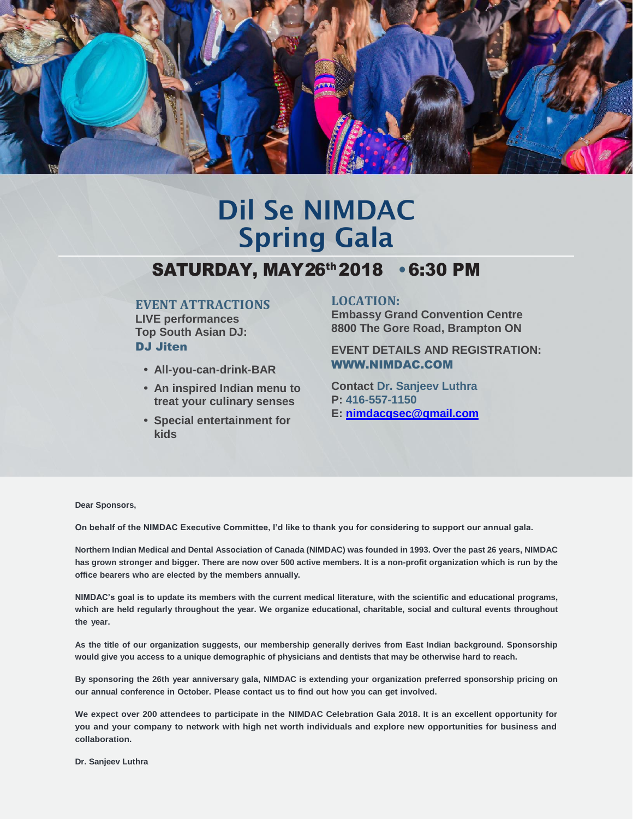

# Dil Se NIMDAC Spring Gala

## SATURDAY, MAY 26<sup>th</sup> 2018 • 6:30 PM

### **EVENT ATTRACTIONS**

**LIVE performances Top South Asian DJ:**  DJ Jiten

- **• All-you-can-drink-BAR**
- **• An inspired Indian menu to treat your culinary senses**
- **• Special entertainment for kids**

### **LOCATION:**

**Embassy Grand Convention Centre 8800 The Gore Road, Brampton ON**

**EVENT DETAILS AND REGISTRATION:** [WWW.NIMDAC.COM](http://www.nimdac.com/)

**Contact Dr. Sanjeev Luthra P: 416-557-1150 E: [nimdacgsec@gmail.com](mailto:nimdacgsec@gmail.com)**

**Dear Sponsors,**

**On behalf of the NIMDAC Executive Committee, I'd like to thank you for considering to support our annual gala.**

**Northern Indian Medical and Dental Association of Canada (NIMDAC) was founded in 1993. Over the past 26 years, NIMDAC has grown stronger and bigger. There are now over 500 active members. It is a non-profit organization which is run by the office bearers who are elected by the members annually.**

**NIMDAC's goal is to update its members with the current medical literature, with the scientific and educational programs, which are held regularly throughout the year. We organize educational, charitable, social and cultural events throughout the year.**

**As the title of our organization suggests, our membership generally derives from East Indian background. Sponsorship would give you access to a unique demographic of physicians and dentists that may be otherwise hard to reach.**

**By sponsoring the 26th year anniversary gala, NIMDAC is extending your organization preferred sponsorship pricing on our annual conference in October. Please contact us to find out how you can get involved.**

**We expect over 200 attendees to participate in the NIMDAC Celebration Gala 2018. It is an excellent opportunity for you and your company to network with high net worth individuals and explore new opportunities for business and collaboration.**

**Dr. Sanjeev Luthra**